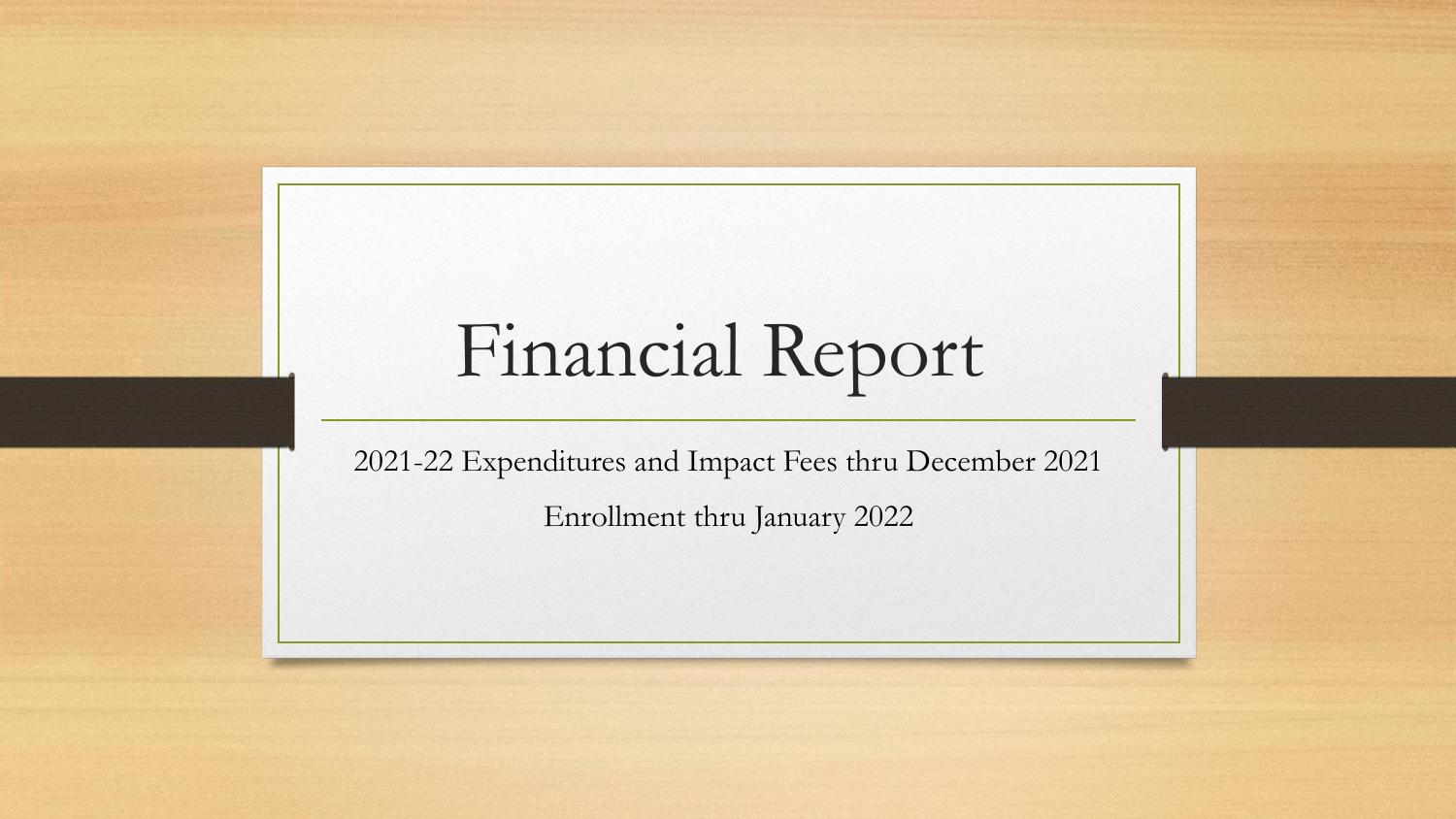## Financial Report

2021-22 Expenditures and Impact Fees thru December 2021 Enrollment thru January 2022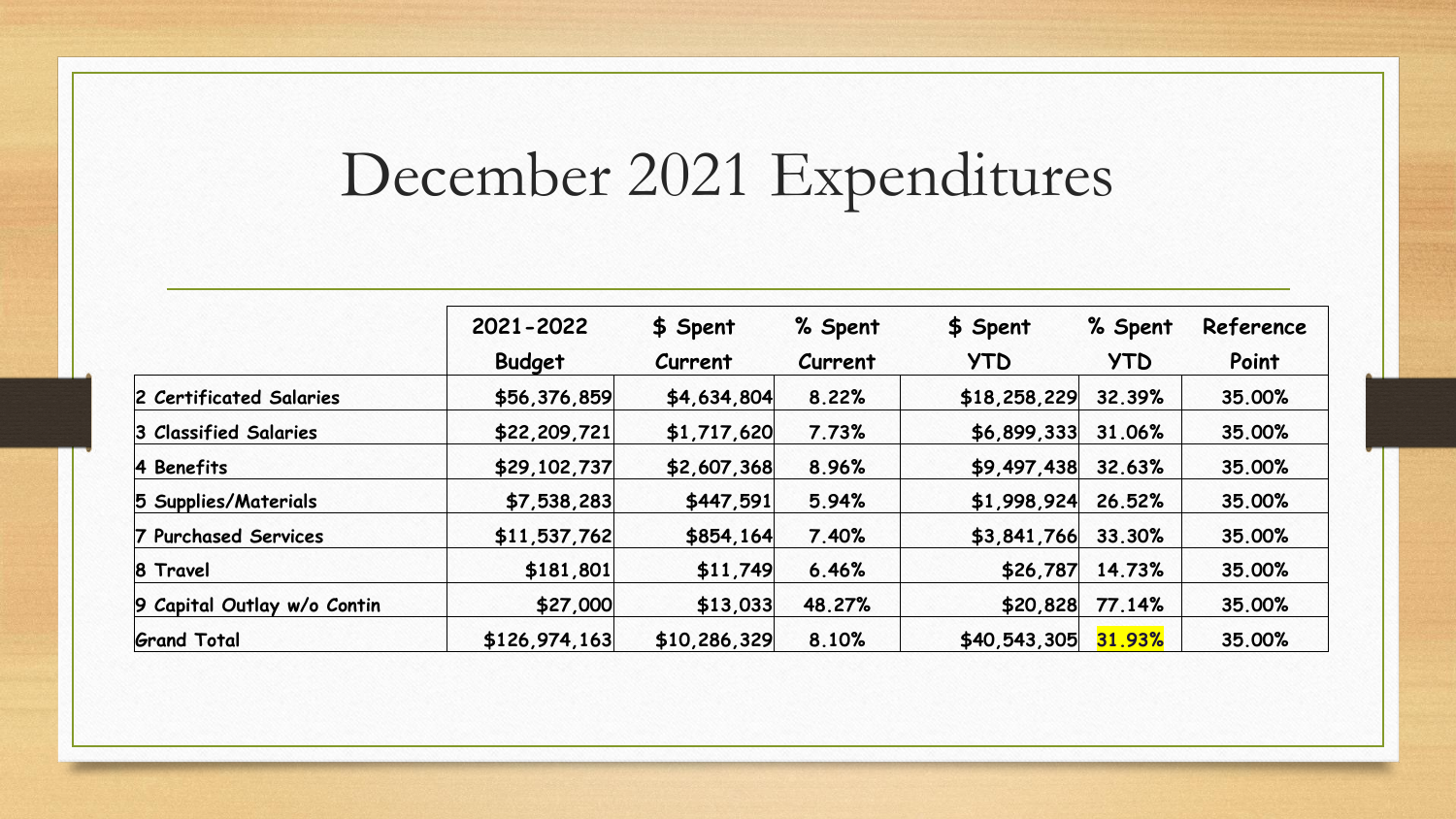## December 2021 Expenditures

|                             | 2021-2022     | \$ Spent     | % Spent | \$ Spent     | % Spent    | Reference |
|-----------------------------|---------------|--------------|---------|--------------|------------|-----------|
|                             | <b>Budget</b> | Current      | Current | <b>YTD</b>   | <b>YTD</b> | Point     |
| 2 Certificated Salaries     | \$56,376,859  | \$4,634,804  | 8.22%   | \$18,258,229 | 32.39%     | 35.00%    |
| 3 Classified Salaries       | \$22,209,721  | \$1,717,620  | 7.73%   | \$6,899,333  | 31.06%     | 35.00%    |
| 4 Benefits                  | \$29,102,737  | \$2,607,368  | 8.96%   | \$9,497,438  | 32.63%     | 35.00%    |
| 5 Supplies/Materials        | \$7,538,283   | \$447,591    | 5.94%   | \$1,998,924  | 26.52%     | 35.00%    |
| 7 Purchased Services        | \$11,537,762  | \$854,164    | 7.40%   | \$3,841,766  | 33.30%     | 35.00%    |
| 8 Travel                    | \$181,801     | \$11,749     | 6.46%   | \$26,787     | 14.73%     | 35.00%    |
| 9 Capital Outlay w/o Contin | \$27,000      | \$13,033     | 48.27%  | \$20,828     | 77.14%     | 35.00%    |
| <b>Grand Total</b>          | \$126,974,163 | \$10,286,329 | 8.10%   | \$40,543,305 | 31.93%     | 35.00%    |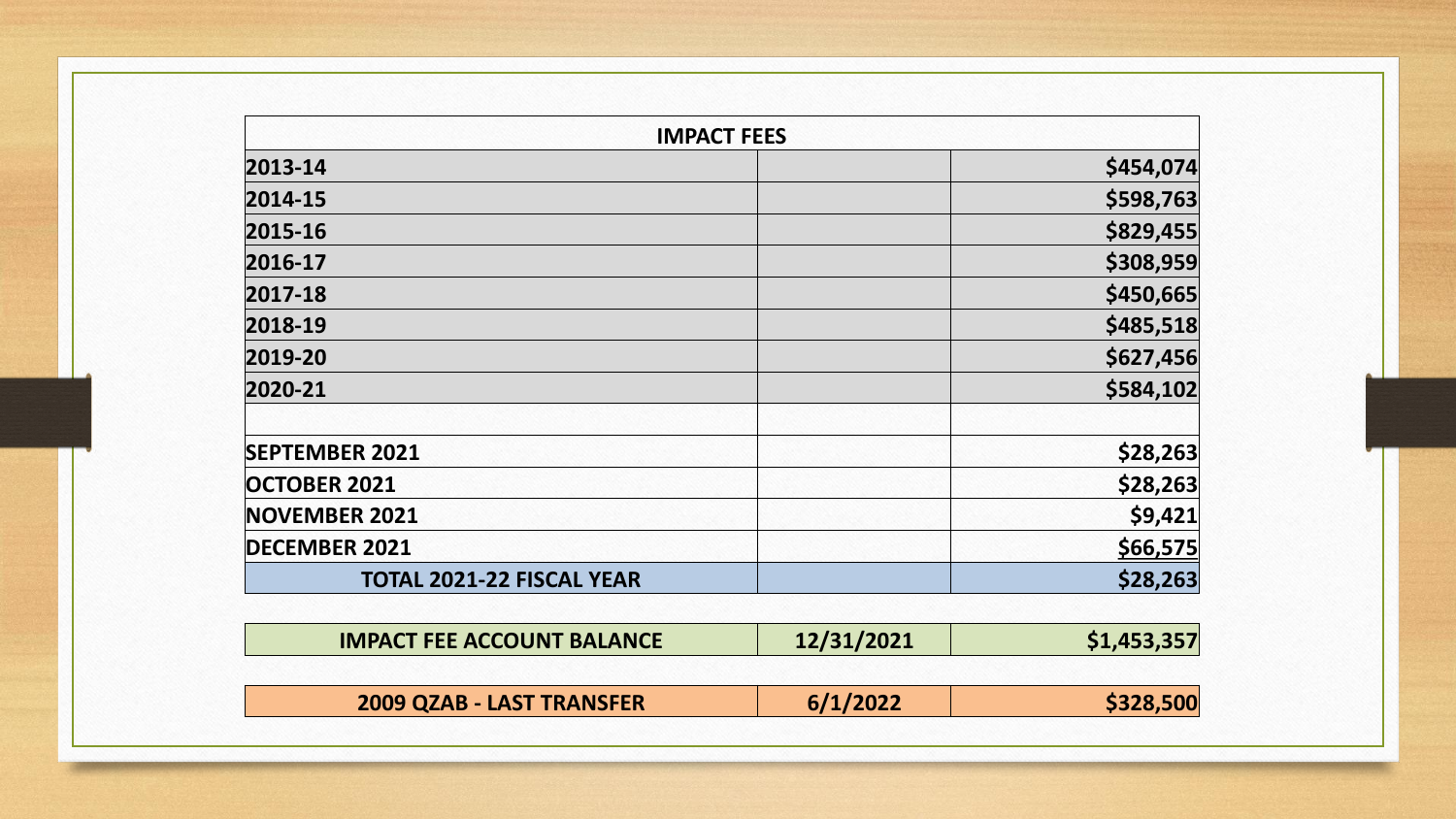| <b>IMPACT FEES</b>               |           |
|----------------------------------|-----------|
| 2013-14                          | \$454,074 |
| 2014-15                          | \$598,763 |
| 2015-16                          | \$829,455 |
| 2016-17                          | \$308,959 |
| 2017-18                          | \$450,665 |
| 2018-19                          | \$485,518 |
| 2019-20                          | \$627,456 |
| 2020-21                          | \$584,102 |
| <b>SEPTEMBER 2021</b>            | \$28,263  |
| <b>OCTOBER 2021</b>              | \$28,263  |
| <b>NOVEMBER 2021</b>             | \$9,421   |
| <b>DECEMBER 2021</b>             | \$66,575  |
| <b>TOTAL 2021-22 FISCAL YEAR</b> | \$28,263  |

| <b>IMPACT FEE ACCOUNT BALANCE</b> | 12/31/2021 | \$1,453,357 |
|-----------------------------------|------------|-------------|
|                                   |            |             |

| 2009 QZAB - LAST TRANSFER | 6/1/2022 | \$328,500 |
|---------------------------|----------|-----------|
|---------------------------|----------|-----------|